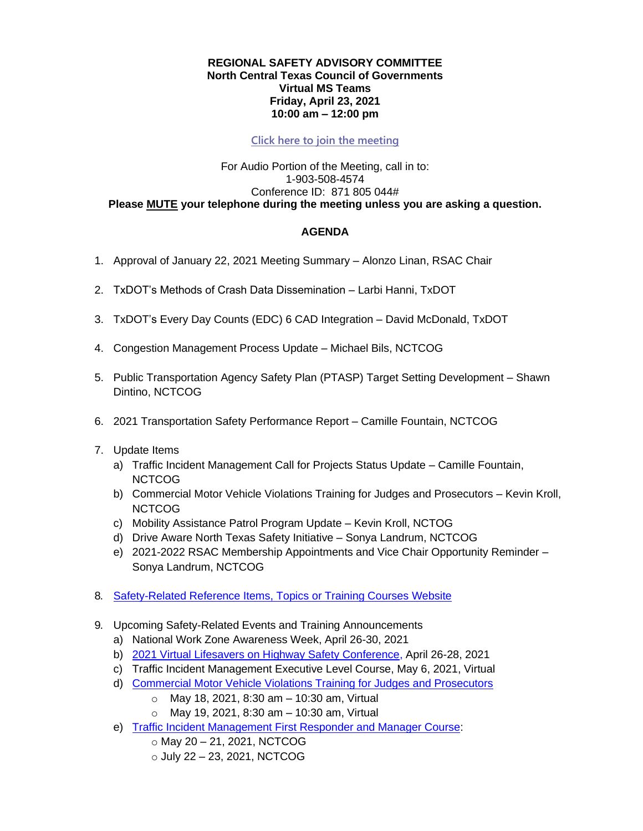## **REGIONAL SAFETY ADVISORY COMMITTEE North Central Texas Council of Governments Virtual MS Teams Friday, April 23, 2021 10:00 am – 12:00 pm**

## **[Click here to join the meeting](https://teams.microsoft.com/l/meetup-join/19%3ameeting_NjZjNjZkZDYtZmU1Ny00ODg1LTlmM2MtNGEwZjI1NWZkZmE2%40thread.v2/0?context=%7b%22Tid%22%3a%222f5e7ebc-22b0-4fbe-934c-aabddb4e29b1%22%2c%22Oid%22%3a%223418fb1d-ada3-49a3-87e9-198e6e093596%22%7d)**

## For Audio Portion of the Meeting, call in to: 1-903-508-4574 Conference ID: 871 805 044# **Please MUTE your telephone during the meeting unless you are asking a question.**

## **AGENDA**

- 1. Approval of January 22, 2021 Meeting Summary Alonzo Linan, RSAC Chair
- 2. TxDOT's Methods of Crash Data Dissemination Larbi Hanni, TxDOT
- 3. TxDOT's Every Day Counts (EDC) 6 CAD Integration David McDonald, TxDOT
- 4. Congestion Management Process Update Michael Bils, NCTCOG
- 5. Public Transportation Agency Safety Plan (PTASP) Target Setting Development Shawn Dintino, NCTCOG
- 6. 2021 Transportation Safety Performance Report Camille Fountain, NCTCOG
- 7. Update Items
	- a) Traffic Incident Management Call for Projects Status Update Camille Fountain, NCTCOG
	- b) Commercial Motor Vehicle Violations Training for Judges and Prosecutors Kevin Kroll, NCTCOG
	- c) Mobility Assistance Patrol Program Update Kevin Kroll, NCTOG
	- d) Drive Aware North Texas Safety Initiative Sonya Landrum, NCTCOG
	- e) 2021-2022 RSAC Membership Appointments and Vice Chair Opportunity Reminder Sonya Landrum, NCTCOG
- 8. [Safety-Related Reference Items, Topics or Training Courses](https://www.nctcog.org/trans/quality/safety/transportation-safety/safety-topic-resources) Website
- 9. Upcoming Safety-Related Events and Training Announcements
	- a) National Work Zone Awareness Week, April 26-30, 2021
	- b) [2021 Virtual Lifesavers on Highway Safety Conference,](https://lifesaversconference.org/registration/) April 26-28, 2021
	- c) Traffic Incident Management Executive Level Course, May 6, 2021, Virtual
	- d) [Commercial Motor Vehicle Violations Training for Judges and Prosecutors](https://www.nctcog.org/trans/quality/safety/transportation-safety/commercial-vehicle-enforcement)
		- $\circ$  May 18, 2021, 8:30 am 10:30 am, Virtual
		- $\circ$  May 19, 2021, 8:30 am 10:30 am, Virtual
	- e) Traffic [Incident Management First Responder and Manager Course:](https://www.nctcog.org/training-development-institute/tdi-training-courses/public-safety-academy)
		- o May 20 21, 2021, NCTCOG
		- $\circ$  July 22 23, 2021, NCTCOG